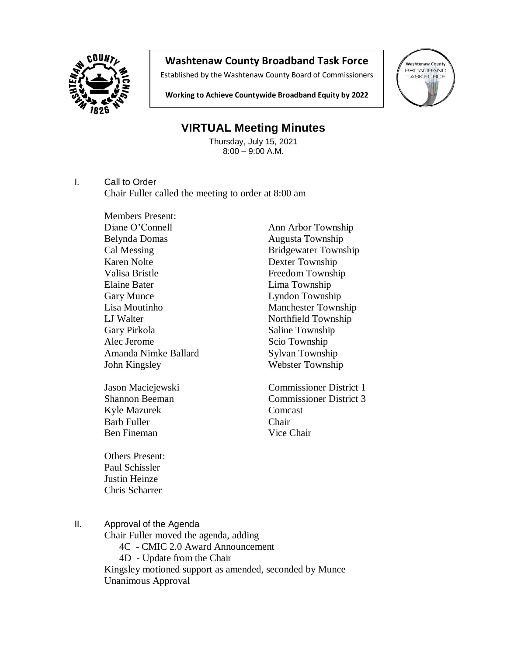

## **Washtenaw County Broadband Task Force**

Established by the Washtenaw County Board of Commissioners



**Working to Achieve Countywide Broadband Equity by 2022**

## **VIRTUAL Meeting Minutes**

Thursday, July 15, 2021 8:00 – 9:00 A.M.

I. Call to Order

Chair Fuller called the meeting to order at 8:00 am

Members Present: Diane O'Connell Ann Arbor Township Belynda Domas Augusta Township Karen Nolte Dexter Township Valisa Bristle Freedom Township Elaine Bater Lima Township Gary Munce Lyndon Township Lisa Moutinho Manchester Township LJ Walter Northfield Township Gary Pirkola Saline Township Alec Jerome Scio Township Amanda Nimke Ballard Sylvan Township John Kingsley Webster Township

Kyle Mazurek Comcast Barb Fuller Chair Ben Fineman Vice Chair

Cal Messing **Bridgewater Township** 

Jason Maciejewski Commissioner District 1 Shannon Beeman Commissioner District 3

Others Present: Paul Schissler Justin Heinze Chris Scharrer

II. Approval of the Agenda

Chair Fuller moved the agenda, adding 4C - CMIC 2.0 Award Announcement

4D - Update from the Chair

Kingsley motioned support as amended, seconded by Munce Unanimous Approval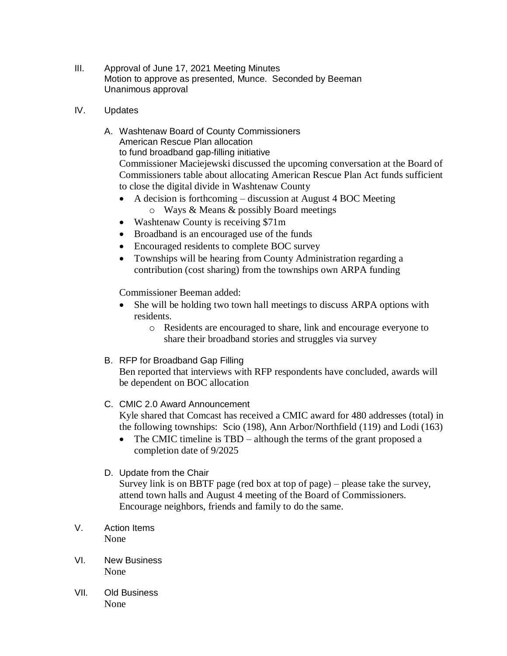- III. Approval of June 17, 2021 Meeting Minutes Motion to approve as presented, Munce. Seconded by Beeman Unanimous approval
- IV. Updates
	- A. Washtenaw Board of County Commissioners American Rescue Plan allocation to fund broadband gap-filling initiative Commissioner Maciejewski discussed the upcoming conversation at the Board of Commissioners table about allocating American Rescue Plan Act funds sufficient to close the digital divide in Washtenaw County
		- A decision is forthcoming discussion at August 4 BOC Meeting
			- o Ways & Means & possibly Board meetings
		- Washtenaw County is receiving \$71m
		- Broadband is an encouraged use of the funds
		- Encouraged residents to complete BOC survey
		- Townships will be hearing from County Administration regarding a contribution (cost sharing) from the townships own ARPA funding

Commissioner Beeman added:

- She will be holding two town hall meetings to discuss ARPA options with residents.
	- o Residents are encouraged to share, link and encourage everyone to share their broadband stories and struggles via survey
- B. RFP for Broadband Gap Filling

Ben reported that interviews with RFP respondents have concluded, awards will be dependent on BOC allocation

## C. CMIC 2.0 Award Announcement

Kyle shared that Comcast has received a CMIC award for 480 addresses (total) in the following townships: Scio (198), Ann Arbor/Northfield (119) and Lodi (163)

- The CMIC timeline is TBD although the terms of the grant proposed a completion date of 9/2025
- D. Update from the Chair

Survey link is on BBTF page (red box at top of page) – please take the survey, attend town halls and August 4 meeting of the Board of Commissioners. Encourage neighbors, friends and family to do the same.

- V. Action Items None
- VI. New Business None
- VII. Old Business None